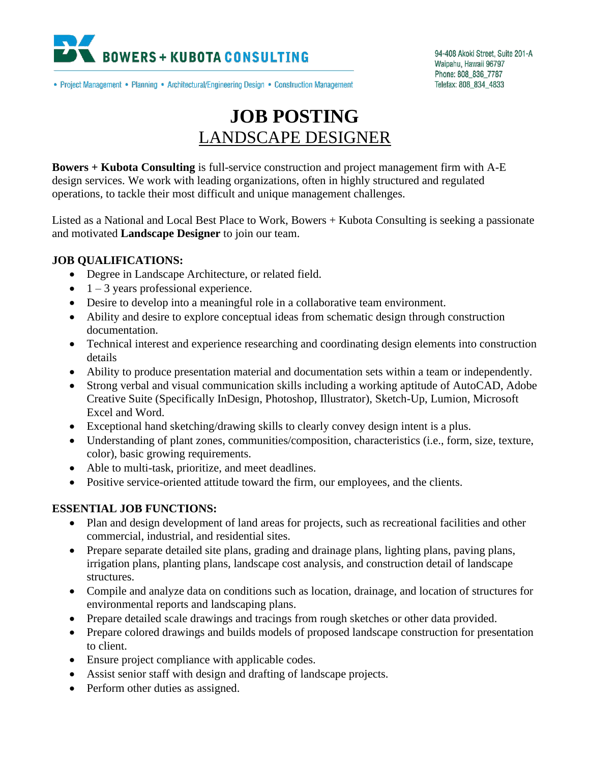

94-408 Akoki Street, Suite 201-A Waipahu, Hawaii 96797 Phone: 808\_836\_7787 Telefax: 808\_834\_4833

• Project Management • Planning • Architectural/Engineering Design • Construction Management

## **JOB POSTING** LANDSCAPE DESIGNER

**Bowers + Kubota Consulting** is full-service construction and project management firm with A-E design services. We work with leading organizations, often in highly structured and regulated operations, to tackle their most difficult and unique management challenges.

Listed as a National and Local Best Place to Work, Bowers + Kubota Consulting is seeking a passionate and motivated **Landscape Designer** to join our team.

## **JOB QUALIFICATIONS:**

- Degree in Landscape Architecture, or related field.
- $\bullet$  1 3 years professional experience.
- Desire to develop into a meaningful role in a collaborative team environment.
- Ability and desire to explore conceptual ideas from schematic design through construction documentation.
- Technical interest and experience researching and coordinating design elements into construction details
- Ability to produce presentation material and documentation sets within a team or independently.
- Strong verbal and visual communication skills including a working aptitude of AutoCAD, Adobe Creative Suite (Specifically InDesign, Photoshop, Illustrator), Sketch-Up, Lumion, Microsoft Excel and Word.
- Exceptional hand sketching/drawing skills to clearly convey design intent is a plus.
- Understanding of plant zones, communities/composition, characteristics (i.e., form, size, texture, color), basic growing requirements.
- Able to multi-task, prioritize, and meet deadlines.
- Positive service-oriented attitude toward the firm, our employees, and the clients.

## **ESSENTIAL JOB FUNCTIONS:**

- Plan and design development of land areas for projects, such as recreational facilities and other commercial, industrial, and residential sites.
- Prepare separate detailed site plans, grading and drainage plans, lighting plans, paving plans, irrigation plans, planting plans, landscape cost analysis, and construction detail of landscape structures.
- Compile and analyze data on conditions such as location, drainage, and location of structures for environmental reports and landscaping plans.
- Prepare detailed scale drawings and tracings from rough sketches or other data provided.
- Prepare colored drawings and builds models of proposed landscape construction for presentation to client.
- Ensure project compliance with applicable codes.
- Assist senior staff with design and drafting of landscape projects.
- Perform other duties as assigned.